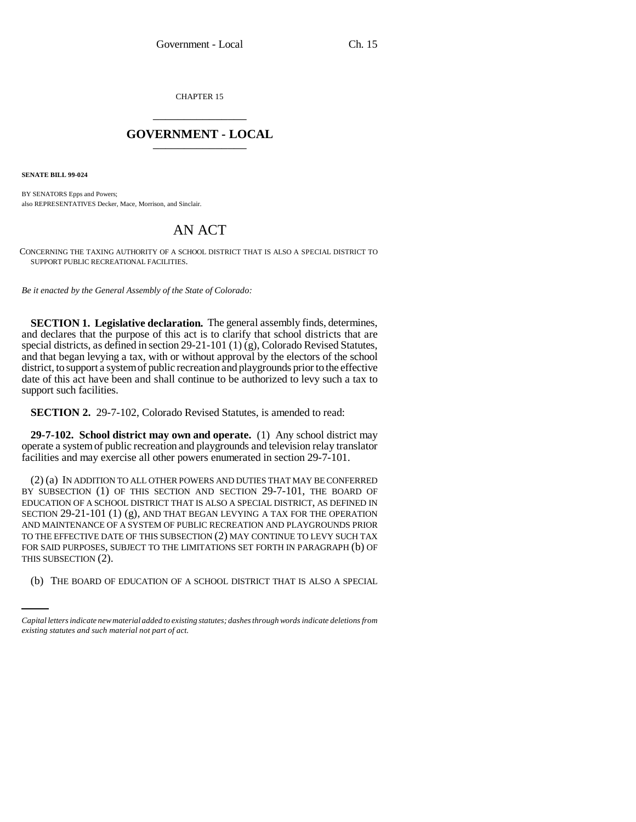CHAPTER 15 \_\_\_\_\_\_\_\_\_\_\_\_\_\_\_

## **GOVERNMENT - LOCAL** \_\_\_\_\_\_\_\_\_\_\_\_\_\_\_

**SENATE BILL 99-024**

BY SENATORS Epps and Powers; also REPRESENTATIVES Decker, Mace, Morrison, and Sinclair.

## AN ACT

CONCERNING THE TAXING AUTHORITY OF A SCHOOL DISTRICT THAT IS ALSO A SPECIAL DISTRICT TO SUPPORT PUBLIC RECREATIONAL FACILITIES.

*Be it enacted by the General Assembly of the State of Colorado:*

**SECTION 1. Legislative declaration.** The general assembly finds, determines, and declares that the purpose of this act is to clarify that school districts that are special districts, as defined in section 29-21-101 (1) (g), Colorado Revised Statutes, and that began levying a tax, with or without approval by the electors of the school district, to support a system of public recreation and playgrounds prior to the effective date of this act have been and shall continue to be authorized to levy such a tax to support such facilities.

**SECTION 2.** 29-7-102, Colorado Revised Statutes, is amended to read:

**29-7-102. School district may own and operate.** (1) Any school district may operate a system of public recreation and playgrounds and television relay translator facilities and may exercise all other powers enumerated in section 29-7-101.

THIS SUBSECTION (2). (2) (a) IN ADDITION TO ALL OTHER POWERS AND DUTIES THAT MAY BE CONFERRED BY SUBSECTION (1) OF THIS SECTION AND SECTION 29-7-101, THE BOARD OF EDUCATION OF A SCHOOL DISTRICT THAT IS ALSO A SPECIAL DISTRICT, AS DEFINED IN SECTION 29-21-101 (1) (g), AND THAT BEGAN LEVYING A TAX FOR THE OPERATION AND MAINTENANCE OF A SYSTEM OF PUBLIC RECREATION AND PLAYGROUNDS PRIOR TO THE EFFECTIVE DATE OF THIS SUBSECTION (2) MAY CONTINUE TO LEVY SUCH TAX FOR SAID PURPOSES, SUBJECT TO THE LIMITATIONS SET FORTH IN PARAGRAPH (b) OF

(b) THE BOARD OF EDUCATION OF A SCHOOL DISTRICT THAT IS ALSO A SPECIAL

*Capital letters indicate new material added to existing statutes; dashes through words indicate deletions from existing statutes and such material not part of act.*